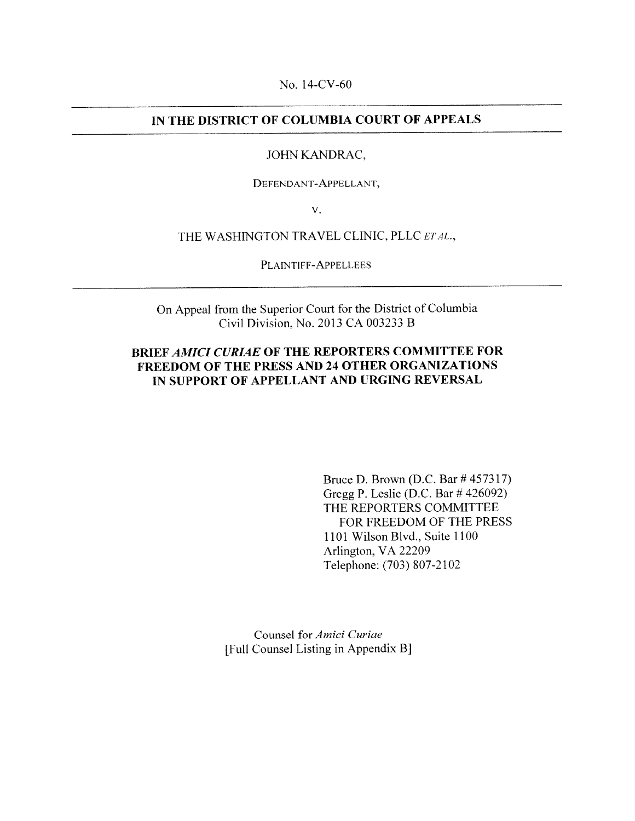No. 14-CV-60

## IN THE DISTRICT OF COLUMBIA COURT OF APPEALS

#### JOHN KANDRAC,

DEFENDANT-APPELLANT,

V.

THE WASHINGTON TRAVEL CLINIC, PLLC ET AL.,

PLAINTIFF-APPELLEES

On Appeal from the Superior Court for the District of Columbia Civil Division, No. 2013 CA 003233 B

## BRIEF AMICI CURIAE OF THE REPORTERS COMMITTEE FOR FREEDOM OF THE PRESS AND 24 OTHER ORGANIZATIONS IN SUPPORT OF APPELLANT AND URGING REVERSAL

Bruce D. Brown (D.C. Bar #457317) Gregg P. Leslie (D.C. Bar # 426092) THE REPORTERS COMMITTEE FOR FREEDOM OF THE PRESS 1101 Wilson Blvd., Suite 1100 Arlington, VA 22209 Telephone: (703) 807-2102

Counsel for Amici Curiae [Full Counsel Listing in Appendix B]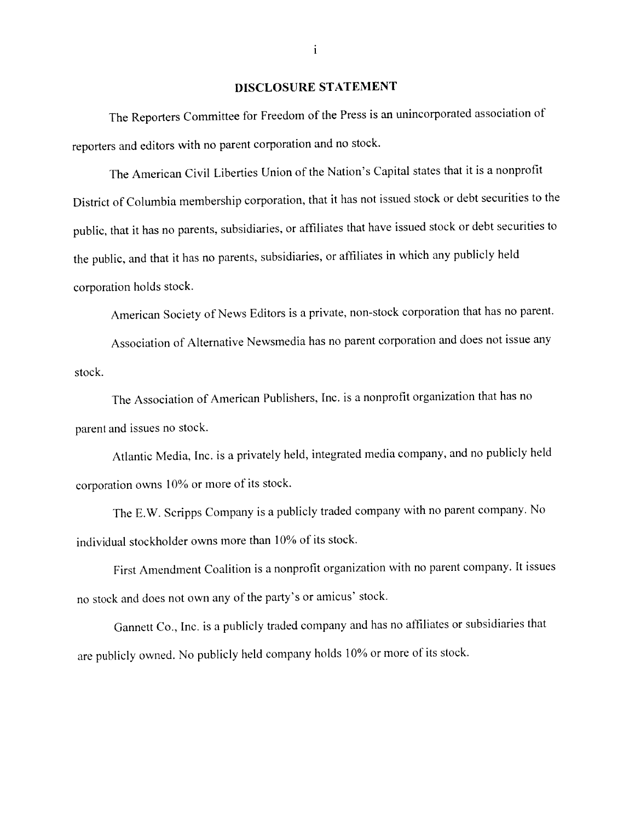#### DISCLOSURE STATEMENT

The Reporters Committee for Freedom of the Press is an unincorporated association of reporters and editors with no paren<sup>t</sup> corporation and no stock,

The American Civil Liberties Union of the Nation's Capital states that it is a nonprofit District of Columbia membership corporation. that it has not issued stock or debt securities to the public, that it has no parents, subsidiaries, or affiliates that have issued stock or debt securities to the public, and that it has no parents, subsidiaries, or affiliates in which any publicly held corporation holds stock.

American Society of News Editors is <sup>a</sup> private, non-stock corporation that has no parent.

Association of Alternative Newsrnedia has no paren<sup>t</sup> corporation and does not issue any stock.

The Association of American Publishers, Inc. is <sup>a</sup> nonprofit organization that has no parent and issues no stock.

Atlantic Media, Inc. is <sup>a</sup> privately held, integrated media company, and no publicly held corporation owns 10% or more of its stock.

The E.W. Scripps Company is <sup>a</sup> publicly traded company with no paren<sup>t</sup> company. No individual stockholder owns more than 10% of its stock.

First Amendment Coalition is <sup>a</sup> nonprofit organization with no paren<sup>t</sup> company. It issues no stock and does not own any of the party's or amicus' stock.

Gannett Co., Inc. is <sup>a</sup> publicly traded company and has no affiliates or subsidiaries that are publicly owned. No publicly held company holds 10% or more of its stock.

 $\mathbf{i}$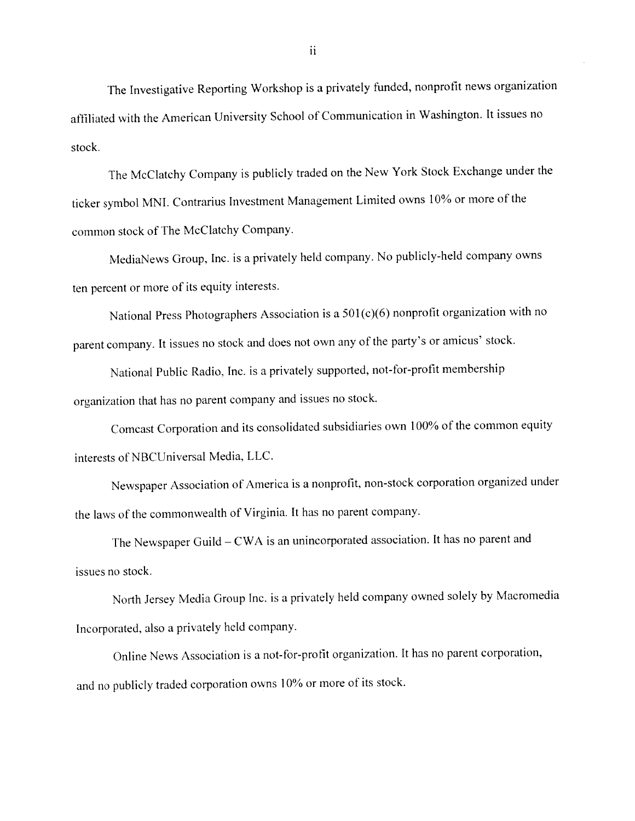The Investigative Reporting Workshop is <sup>a</sup> privately funded, nonprofit news organization affiliated with the American University School of Communication in Washington. It issues no stock.

The McClatchy Company is publicly traded on the New York Stock Exchange under the ticker symbol MNI. Conirarius Investment Management Limited owns 10% or more of the common stock of The McClatchy Company.

MediaNews Group, Inc. is <sup>a</sup> privately held company. No publicly-held company owns ten percen<sup>t</sup> or more of its equity interests.

National Press Photographers Association is <sup>a</sup> 501(c)(6) nonprofit organization with no parent company. It issues no stock and does not own any of the party's or amicus' stock.

National Public Radio. Inc. is <sup>a</sup> privately supported. not-for-profit membership organization that has no paren<sup>t</sup> company and issues no stock.

Comcast Corporation and its consolidated subsidiaries own 100% of the common equity interests of NBCUniversal Media. LLC.

Newspaper Association of America is <sup>a</sup> nonprofit, non-stock corporation organized under the laws of the commonwealth of Virginia. It has no paren<sup>t</sup> company.

The Newspaper Guild — CWA is an unincorporated association. It has no paren<sup>t</sup> and issues no stock.

North Jersey Media Group Inc. is <sup>a</sup> privately held company owned solely by Macromedia Incorporated, also <sup>a</sup> privately held company.

Online News Association is a not-for-profit organization. It has no parent corporation, and no publicly traded corporation owns 10% or more of its stock.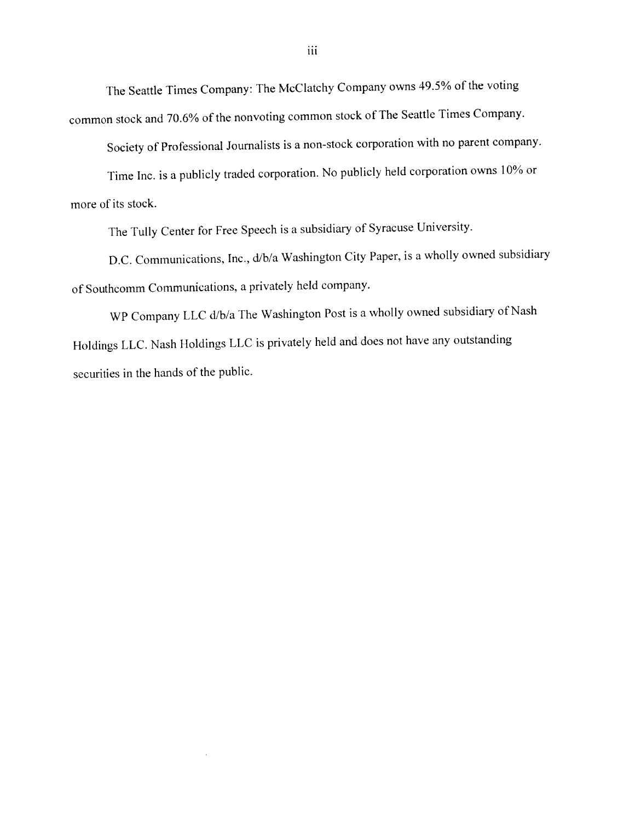The Seattle Times Company: The McClatchy Company owns 49,5% of the voting common stock and 70.6% of the nonvoting common stock of The Seattle Times Company.

Society of Professional Journalists is a non-stock corporation with no parent company.

Time Inc. is a publicly traded corporation. No publicly held corporation owns 10% or more of its stock.

The Tully Center for Free Speech is <sup>a</sup> subsidiary of Syracuse University.

D.C. Communications, Inc., d/b/a Washington City Paper, is a wholly owned subsidiary of Southcomm Communications, <sup>a</sup> privately held company.

\VP Company LLC d/b/a The Washington Post is <sup>a</sup> wholly owned subsidiary of Nash Holdings LLC. Nash Holdings LLC is privately held and does not have any outstanding securities in the hands of the public.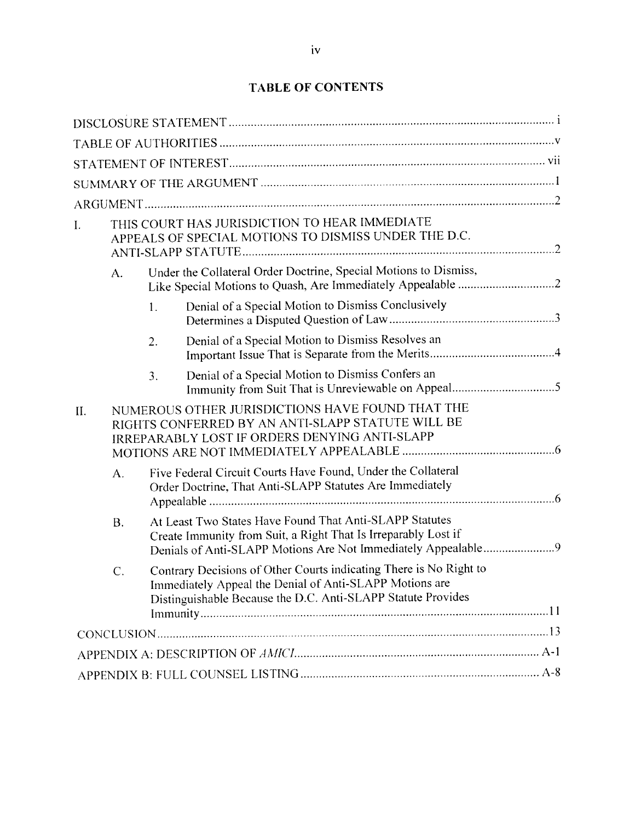| I.  | THIS COURT HAS JURISDICTION TO HEAR IMMEDIATE<br>APPEALS OF SPECIAL MOTIONS TO DISMISS UNDER THE D.C.                                                         |                                                                                                                                                                                               |                                                                  |  |  |
|-----|---------------------------------------------------------------------------------------------------------------------------------------------------------------|-----------------------------------------------------------------------------------------------------------------------------------------------------------------------------------------------|------------------------------------------------------------------|--|--|
|     | A.                                                                                                                                                            |                                                                                                                                                                                               | Under the Collateral Order Doctrine, Special Motions to Dismiss, |  |  |
|     |                                                                                                                                                               | 1.                                                                                                                                                                                            | Denial of a Special Motion to Dismiss Conclusively               |  |  |
|     |                                                                                                                                                               | 2.                                                                                                                                                                                            | Denial of a Special Motion to Dismiss Resolves an                |  |  |
|     |                                                                                                                                                               | 3.                                                                                                                                                                                            | Denial of a Special Motion to Dismiss Confers an                 |  |  |
| II. | NUMEROUS OTHER JURISDICTIONS HAVE FOUND THAT THE<br>RIGHTS CONFERRED BY AN ANTI-SLAPP STATUTE WILL BE<br><b>IRREPARABLY LOST IF ORDERS DENYING ANTI-SLAPP</b> |                                                                                                                                                                                               |                                                                  |  |  |
|     | A.                                                                                                                                                            | Five Federal Circuit Courts Have Found, Under the Collateral<br>Order Doctrine, That Anti-SLAPP Statutes Are Immediately                                                                      |                                                                  |  |  |
|     | <b>B.</b>                                                                                                                                                     | At Least Two States Have Found That Anti-SLAPP Statutes<br>Create Immunity from Suit, a Right That Is Irreparably Lost if<br>Denials of Anti-SLAPP Motions Are Not Immediately Appealable9    |                                                                  |  |  |
|     | C.                                                                                                                                                            | Contrary Decisions of Other Courts indicating There is No Right to<br>Immediately Appeal the Denial of Anti-SLAPP Motions are<br>Distinguishable Because the D.C. Anti-SLAPP Statute Provides |                                                                  |  |  |
|     |                                                                                                                                                               |                                                                                                                                                                                               |                                                                  |  |  |
|     |                                                                                                                                                               |                                                                                                                                                                                               |                                                                  |  |  |
|     |                                                                                                                                                               |                                                                                                                                                                                               |                                                                  |  |  |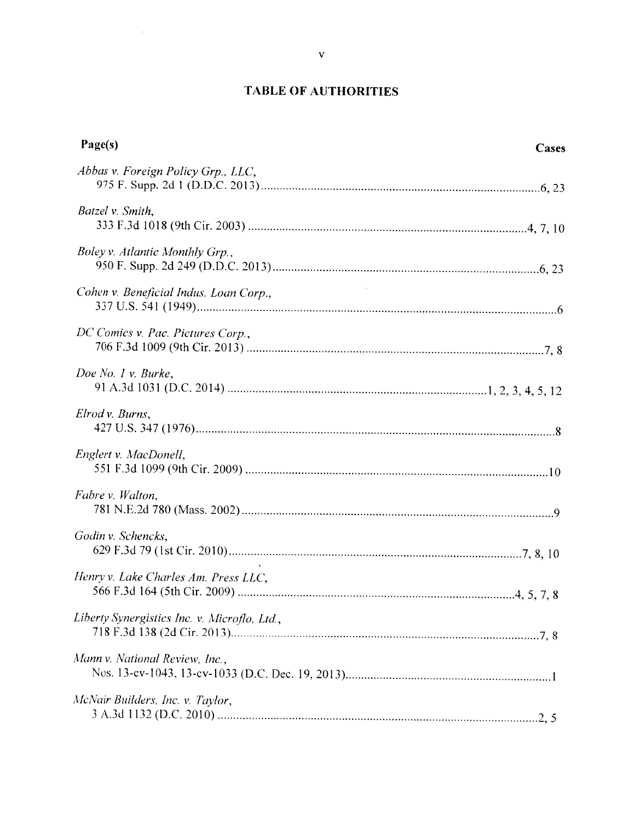# TABLE OF AUTHORITIES

| Page(s)                                      | Cases |
|----------------------------------------------|-------|
| Abbas v. Foreign Policy Grp., LLC,           |       |
| Batzel v. Smith,                             |       |
| Boley v. Atlantic Monthly Grp.,              |       |
| Cohen v. Beneficial Indus. Loan Corp.,       |       |
| DC Comics v. Pac. Pictures Corp.,            |       |
| Doe No. 1 v. Burke,                          |       |
| Elrod v. Burns,                              |       |
| Englert v. MacDonell,                        |       |
| Fabre v. Walton,                             |       |
| Godin v. Schencks,                           |       |
| Henry v. Lake Charles Am. Press LLC,         |       |
| Liberty Synergistics Inc. v. Microflo, Ltd., |       |
| Mann v. National Review, Inc.,               |       |
| McNair Builders, Inc. v. Taylor,             |       |

 $\sim$   $\alpha$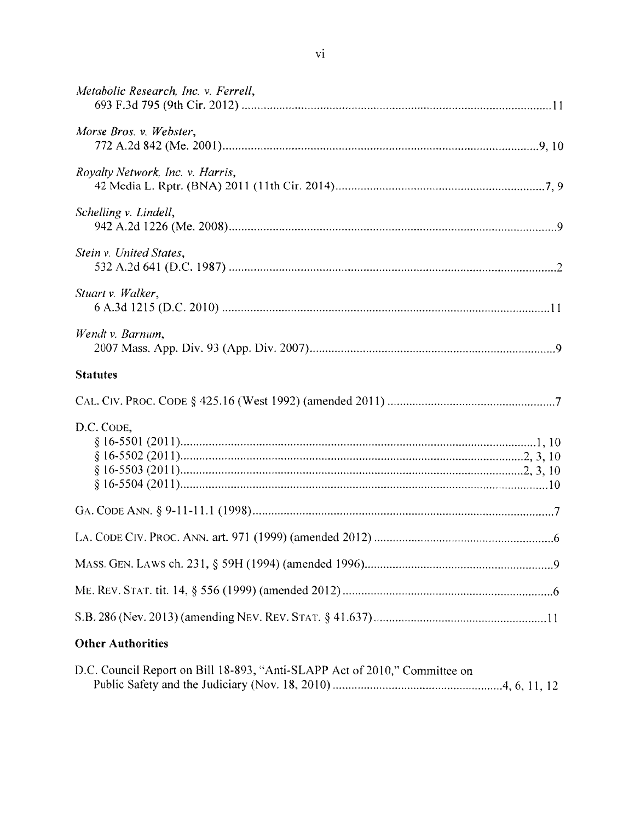| Metabolic Research, Inc. v. Ferrell, |
|--------------------------------------|
| Morse Bros. v. Webster,              |
| Royalty Network, Inc. v. Harris,     |
| Schelling v. Lindell,                |
| Stein v. United States,              |
| Stuart v. Walker,                    |
| Wendt v. Barnum,                     |
| <b>Statutes</b>                      |
|                                      |
| D.C. CODE,                           |
|                                      |
|                                      |
|                                      |
|                                      |
|                                      |
| <b>Other Authorities</b>             |

| D.C. Council Report on Bill 18-893, "Anti-SLAPP Act of 2010," Committee on |  |
|----------------------------------------------------------------------------|--|
|                                                                            |  |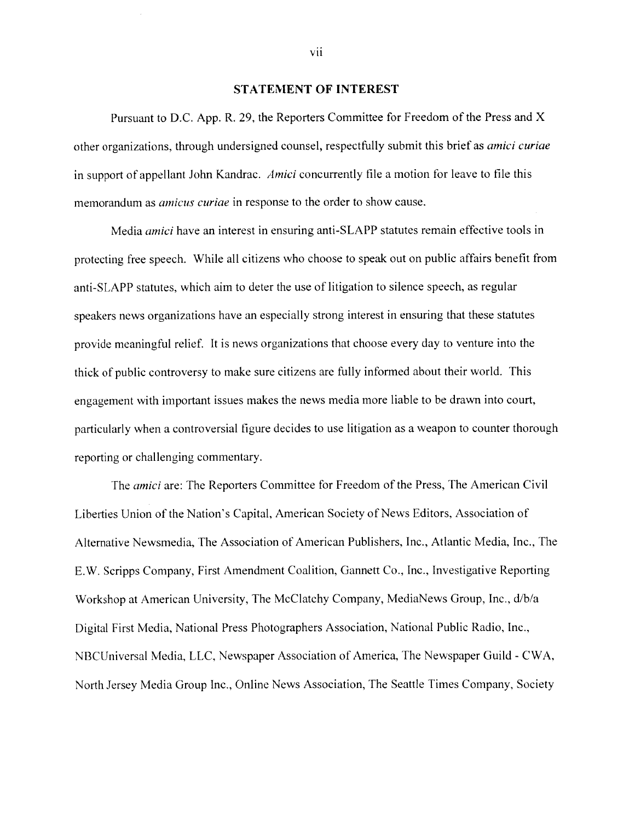#### STATEMENT OF INTEREST

Pursuant to D.C. App. R. 29, the Reporters Committee for Freedom of the Press and X other organizations, through undersigned counsel, respectfully submit this brief as *amici curiae* in support of appellant John Kandrac. Amici concurrently file a motion for leave to file this memorandum as *amicus curiae* in response to the order to show cause.

Media amici have an interest in ensuring anti-SLAPP statutes remain effective tools in protecting free speech. While all citizens who choose to speak out on public affairs benefit from anti-SLAPP statutes, which aim to deter the use of litigation to silence speech, as regular speakers news organizations have an especially strong interest in ensuring that these statutes provide meaningful relief. It is news organizations that choose every day to venture into the thick of public controversy to make sure citizens are fully informed about their world. This engagement with important issues makes the news media more liable to be drawn into court, particularly when a controversial figure decides to use litigation as a weapon to counter thorough reporting or challenging commentary.

The *amici* are: The Reporters Committee for Freedom of the Press, The American Civil Liberties Union of the Nation's Capital, American Society of News Editors. Association of Alternative Newsmedia, The Association of American Publishers. Inc., Atlantic Media. Inc., The E.W. Scripps Company, First Amendment Coalition, Gannett Co.. Inc.. Investigative Reporting Workshop at American University, The McClatchy Company, MediaNews Group, Inc., d/b/a Digital First Media. National Press Photographers Association. National Public Radio, Inc.. NBCUniversal Media, LLC, Newspaper Association of America, The Newspaper Guild - CWA, North Jersey Media Group Inc., Online News Association. The Seattle Times Company, Society

vii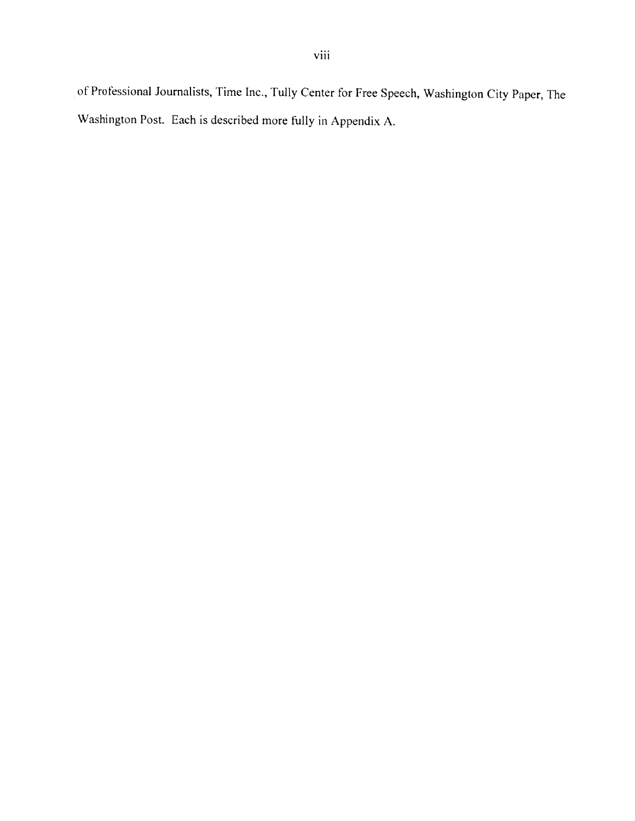of Professional Journalists, Time Inc., Tully Center for Free Speech, Washington City Paper, The Washington Post. Each is described more fully in Appendix A.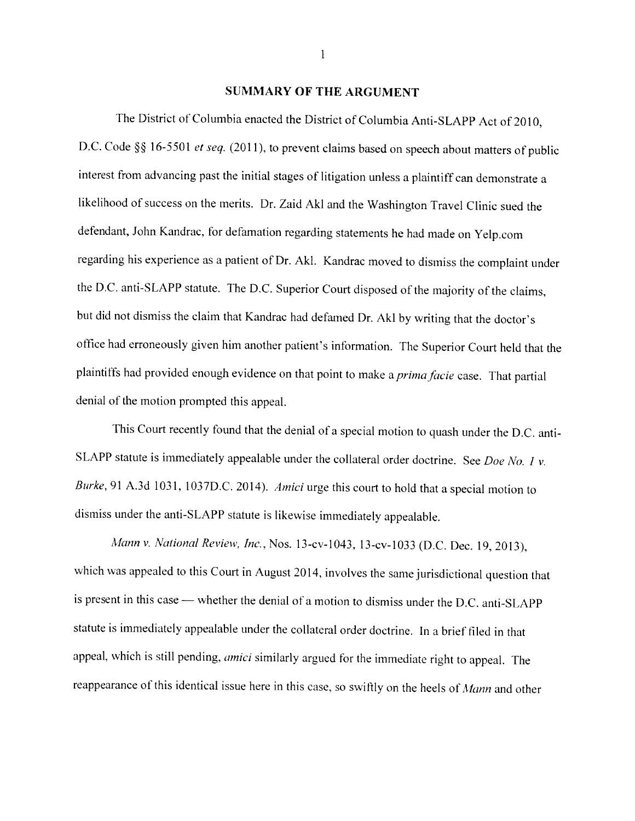## SUMMARY OF THE ARGUMENT

The District of Columbia enacted the District of Columbia Anti-SLAPP Act of 2010, D.C. Code §§ 16-5501 et seq. (2011), to prevent claims based on speech about matters of public interest from advancing past the initial stages of litigation unless <sup>a</sup> <sup>p</sup>laintiff can demonstrate <sup>a</sup> likelihood of success on the merits. Dr. Zaid Akl and the Washington Travel Clinic sued the defendant, John Kandrac. for defamation regarding statements he had made on Yelp.com regarding his experience as <sup>a</sup> patient of Dr. Aki. Kandrac moved to dismiss the complaint under the D.C. anti-SLAPP statute. The D.C. Superior Court disposed of the majority of the claims, but did not dismiss the claim that Kandrac had defamed Dr. Akl by writing that the doctor's office had erroneously <sup>g</sup>iven him another patient's information. The Superior Court held that the plaintiffs had provided enough evidence on that point to make a prima facie case. That partial denial of the motion prompted this appeal.

This Court recently found that the denial of <sup>a</sup> special motion to quash under the D.C. anti SLAPP statute is immediately appealable under the collateral order doctrine. See Doe No. 1 v. Burke, 91 A.3d 1031, 1037D.C. 2014). Amici urge this court to hold that a special motion to dismiss under the anti-SLAPP statute is likewise immediately appealable.

Mann v. National Review, Inc., Nos. 13-cv-1043, 13-cv-1033 (D.C. Dec. 19, 2013), which was appealed to this Court in August 2014, involves the same jurisdictional question that is present in this case — whether the denial of a motion to dismiss under the D.C. anti-SLAPP statute is immediately appealable under the collateral order doctrine. In <sup>a</sup> brief tiled in that appeal, which is still pending, amici similarly argued for the immediate right to appeal. The reappearance of this identical issue here in this case, so swiftly on the heels of Mann and other

 $\mathbf{1}$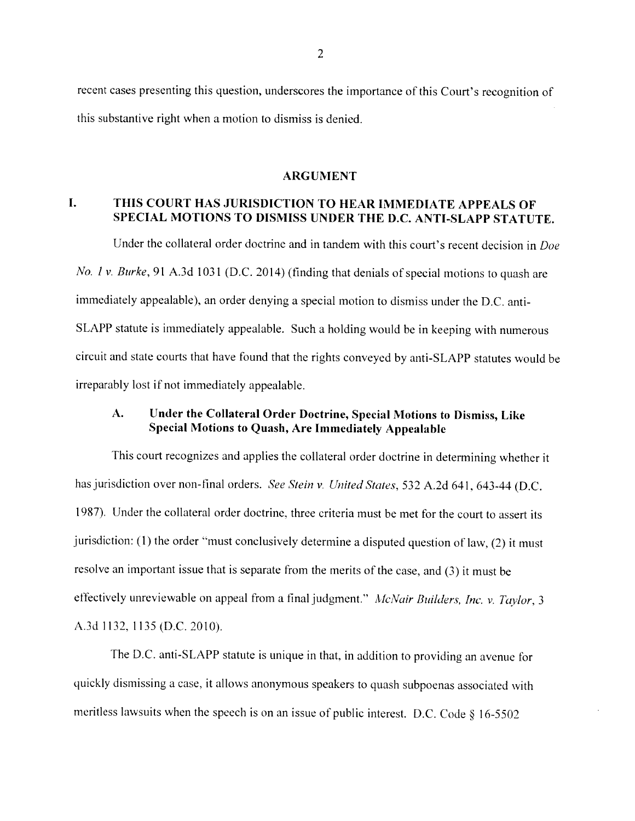recent cases presenting this question, underscores the importance of this Court's recognition ot this substantive right when <sup>a</sup> motion to dismiss is denied.

#### **ARGUMENT**

#### L. THIS COURT HAS JURISDICTION TO HEAR IMMEDIATE APPEALS OF SPECIAL MOTIONS TO DISMISS UNDER THE D.C. ANTI-SLAPP STATUTE.

Under the collateral order doctrine and in tandem with this court's recent decision in Doe No. 1 v. Burke, 91 A.3d 1031 (D.C. 2014) (finding that denials of special motions to quash are immediately appealable), an order denying <sup>a</sup> special motion to dismiss under the D.C. anti SLAPP statute is immediately appealable. Such <sup>a</sup> holding would he in keeping with numerous circuit and state courts that have found that the rights conveyed by anti-SLAPP statutes would be irreparably lost if not immediately appealable.

# A. Under the Collateral Order Doctrine, Special Motions to Dismiss, Like Special Motions to Quash, Are Immediately Appealable

This court recognizes and applies the collateral order doctrine in determining whether it has jurisdiction over non-final orders. See Stein v. United States, 532 A.2d 641, 643-44 (D.C. 1987). Under the collateral order doctrine, three criteria must be met for the court to assert its jurisdiction: (I) the order "must conclusively determine <sup>a</sup> disputed question of law, (2) it must resolve an important issue that is separate from the merits of the case, and (3) it must be effectively unreviewable on appeal from a final judgment." McNair Builders, Inc. v. Taylor, 3 A.3d 1132, 1135 (D.C. 2010).

The D.C. anti-SLAPP statute is unique in that, in addition to providing an avenue for quickly dismissing a case, it allows anonymous speakers to quash subpoenas associated with meritless lawsuits when the speech is on an issue of public interest. D.C. Code  $\S$  16-5502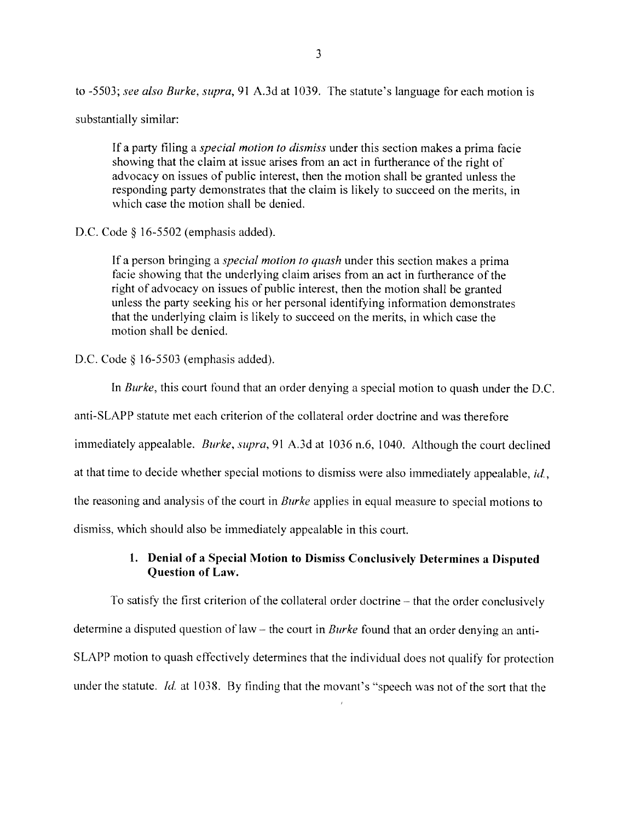to -5503: see also Burke, supra, <sup>91</sup> A.3d at 1039. The statute's language for each motion is

substantially similar:

If a party filing a special motion to dismiss under this section makes a prima facie showing that the claim at issue arises from an act in furtherance of the right of advocacy on issues of public interest, then the motion shall be granted unless the responding party demonstrates that the claim is likely to succeed on the merits, in which case the motion shall be denied.

I).C. Code § 16-5502 (emphasis added).

If a person bringing a *special motion to quash* under this section makes a prima facie showing that the underlying claim arises from an act in furtherance of the right of advocacy on issues of public interest, then the motion shall be granted unless the party seeking his or her personal identifying information demonstrates that the underlying claim is likely to succeed on the merits, in which case the motion shall be denied.

D.C. Code § 16-5503 (emphasis added).

In Burke, this court found that an order denying a special motion to quash under the D.C. anti-SLAPP statute met each criterion of the collateral order doctrine and was therefore immediately appealable. *Burke, supra,* 91 A.3d at 1036 n.6, 1040. Although the court declined at that time to decide whether special motions to dismiss were also immediately appealable,  $id$ , the reasoning and analysis of the court in *Burke* applies in equal measure to special motions to dismiss, which should also be immediately appealable in this court.

## 1. Denial of a Special Motion to Dismiss Conclusively Determines a Disputed Question of Law.

To satisfy the tirst criterion of the collateral order doctrine — that the order conclusively determine a disputed question of law – the court in *Burke* found that an order denying an anti-SLAPP motion to quash effectively determines that the individual does not qualify for protection under the statute. Id. at 1038. By finding that the movant's "speech was not of the sort that the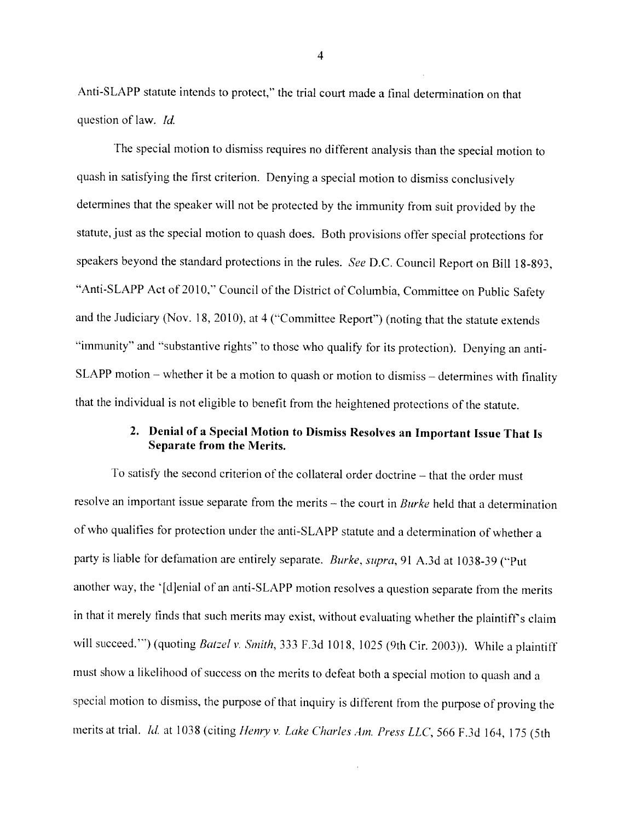Anti-SLAPP statute intends to protect," the trial court made a final determination on that question of law.  $Id$ .

The special motion to dismiss requires no different analysis than the special motion to quash in satisfying the first criterion. Denying <sup>a</sup> special motion to dismiss conclusively determines that the speaker will not be protected by the immunity from suit provided by the statute, just as the special motion to quash does. Both provisions offer special protections for speakers beyond the standard protections in the rules. See D.C. Council Report on Bill 18-893, 'Anti-SLAPP Act of 2010," Council of the District of Columbia, Committee on Public Safety and the Judiciary (Nov. 18, 2010), at <sup>4</sup> ("Committee Report") (noting that the statute extends 'immunity" and "substantive rights" to those who qualify for its protection). Denying an anti SLAPP motion – whether it be a motion to quash or motion to dismiss – determines with finality that the individual is not eligible to benetit from the heightened protections of the statute.

# 2. Denial of <sup>a</sup> Special Motion to Dismiss Resolves an Important Issue That Is Separate from the Merits.

To satisfy the second criterion of the collateral order doctrine – that the order must resolve an important issue separate from the merits – the court in *Burke* held that a determination of who qualities for protection under the anti-SLAPP statute and <sup>a</sup> determination of whether <sup>a</sup> party is liable for defamation are entirely separate. Burke, supra, 91 A.3d at 1038-39 ("Put another way, the '[djenial of an anti-SLAPP motion resolves <sup>a</sup> question separate from the merits in that it merely finds that such merits may exist, without evaluating whether the plaintiff's claim will succeed.") (quoting Batzel v. Smith, 333 F.3d 1018, 1025 (9th Cir. 2003)). While a plaintiff must show a likelihood of success on the merits to defeat both a special motion to quash and a special motion to dismiss, the purpose of that inquiry is different from the purpose of proving the merits at trial. Id. at 1038 (citing Henry v. Lake Charles Am. Press LLC, 566 F.3d 164, 175 (5th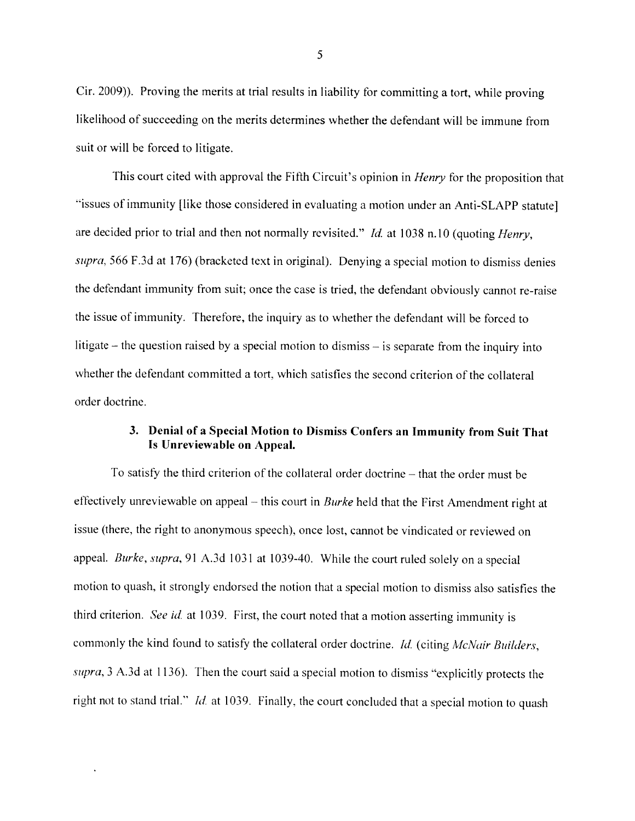Cir. 2009)). Proving the merits at trial results in liability for committing <sup>a</sup> tort, while proving likelihood of succeeding on the merits determines whether the defendant will be immune from suit or will be forced to litigate.

This court cited with approval the Fifth Circuit's opinion in *Henry* for the proposition that "issues of immunity [like those considered in evaluating <sup>a</sup> motion under an Anti-SLAPP statute] are decided prior to trial and then not normally revisited." *Id.* at 1038 n.10 (quoting *Henry*, supra, 566 F.3d at 176) (bracketed text in original). Denying a special motion to dismiss denies the defendant immunity from suit; once the case is tried, the defendant obviously cannot re-raise the issue of immunity. Therefore, the inquiry as to whether the defendant will be forced to litigate — the question raised by <sup>a</sup> special motion to dismiss — is separate from the inquiry into whether the defendant committed <sup>a</sup> tort. which satisfies the second criterion of the collateral order doctrine.

# 3. Denial of <sup>a</sup> Special Motion to Dismiss Confers an Immunity from Suit That Is Unreviewable on Appeal.

To satisfy the third criterion of the collateral order doctrine — that the order must be effectively unreviewable on appeal – this court in *Burke* held that the First Amendment right at issue (there, the right to anonymous speech), once lost, cannot be vindicated or reviewed on appeal. Burke, supra, 91 A.3d 1031 at 1039-40. While the court ruled solely on a special motion to quash. it strongly endorsed the notion that <sup>a</sup> special motion to dismiss also satisfies the third criterion. See id. at 1039. First, the court noted that a motion asserting immunity is commonly the kind found to satisfy the collateral order doctrine. Id. (citing McNair Builders, supra,  $3$  A.3d at 1136). Then the court said a special motion to dismiss "explicitly protects the right not to stand trial." *Id.* at 1039. Finally, the court concluded that a special motion to quash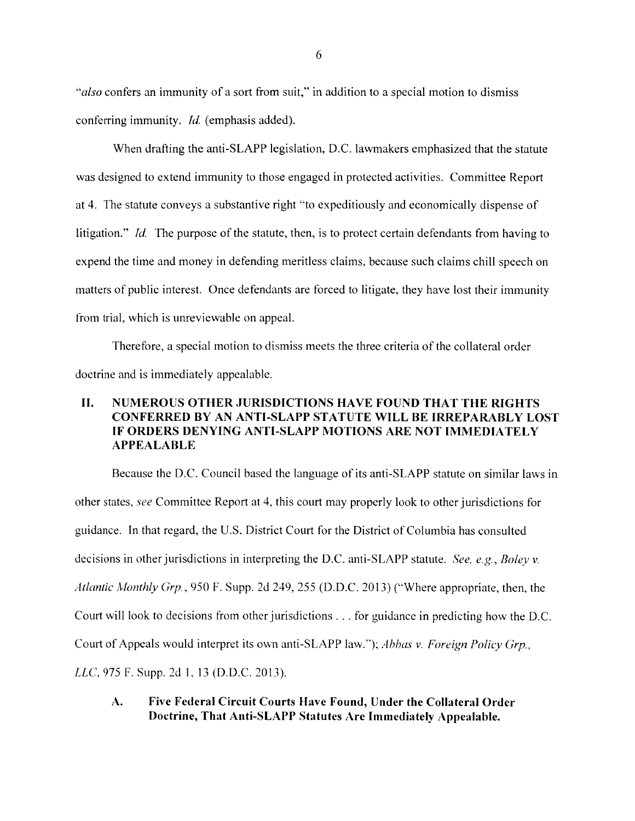"also confers an immunity of a sort from suit," in addition to a special motion to dismiss conferring immunity. Id. (emphasis added).

When drafting the anti-SLAPP legislation, D.C. lawmakers emphasized that the statute was designed to extend immunity to those engaged in protected activities. Committee Report at 4. The statute conveys a substantive right "to expeditiously and economically dispense of litigation." *Id.* The purpose of the statute, then, is to protect certain defendants from having to expend the time and money in defending meritless claims, because such claims chill speech on matters of public interest. Once defendants are forced to litigate, they have lost their immunity from trial, which is unreviewable on appeal.

Therefore, a special motion to dismiss meets the three criteria of the collateral order doctrine and is immediately appealable.

# II. NUMEROUS OTHER JURISDICTIONS HAVE FOUND THAT THE RIGHTS CONFERRED BY AN ANTI-SLAPP STATUTE WILL BE IRREPARABLY LOST IF ORDERS DENYING ANTI-SLAPP MOTIONS ARE NOT IMMEDIATELY APPEALABLE

Because the D.C. Council based the language of its anti-SLAPP statute on similar laws in other states, see Committee Report at 4, this court may properly look to other jurisdictions for guidance. In that regard, the U.S. District Court for the District of Columbia has consulted decisions in other jurisdictions in interpreting the D.C. anti-SLAPP statute. See, e.g., Boley v. Atlantic Monthly Grp., 950 F. Supp. 2d 249, 255 (D.D.C. 2013) ("Where appropriate, then, the Court will look to decisions from other jurisdictions . . . for guidance in predicting how the D.C. Court of Appeals would interpret its own anti-SLAPP law."); Abbas v. Foreign Policy Grp., LLC, 975 F. Supp. 2d 1, 13 (D.D.C. 2013),

A. Five Federal Circuit Courts Have Found, Under the Collateral Order Doctrine, That Anti-SLAPP Statutes Are Immediately Appealable.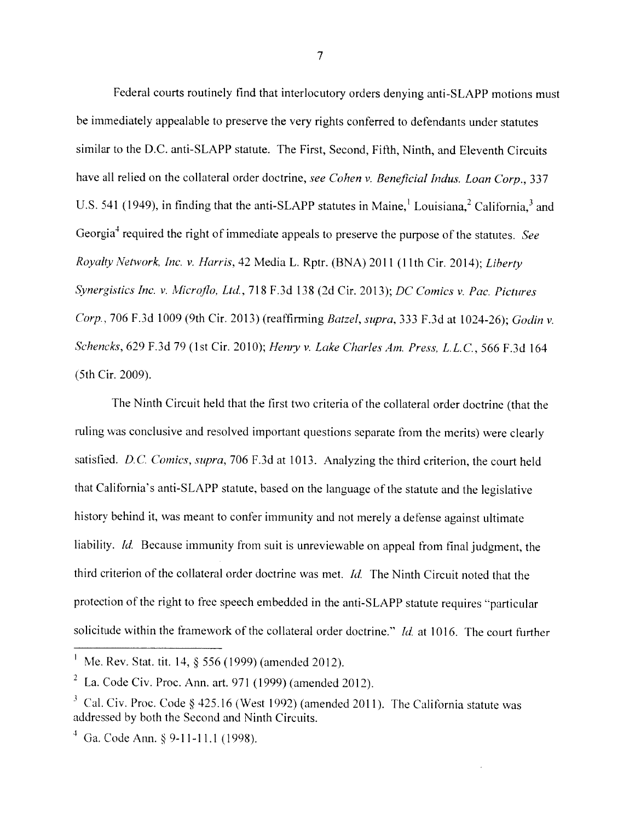Federal courts routinely find that interlocutory orders denying anti-SLAPP motions must be immediately appealable to preserve the very rights conferred to defendants under statutes similar to the D.C. anti-SLAPP statute. The First, Second, Fifth, Ninth, and Eleventh Circuits have all relied on the collateral order doctrine, see Cohen v. Beneficial Indus. Loan Corp., 337 U.S. 541 (1949), in finding that the anti-SLAPP statutes in Maine,<sup>1</sup> Louisiana,<sup>2</sup> California,<sup>3</sup> and Georgia<sup>4</sup> required the right of immediate appeals to preserve the purpose of the statutes. See Royalty Network, Inc. v. Harris, 42 Media L. Rptr. (BNA) 2011 (11th Cir. 2014); Liberty Synergistics Inc. v. Microflo, Ltd., 718 F.3d 138 (2d Cir. 2013); DC Comics v. Pac. Pictures Corp., <sup>706</sup> F.3d <sup>1009</sup> (9th Cir. 2013) (reaffirming Batzel, sipra, <sup>333</sup> F.3d at 1024-26); Godin v. Schencks, 629 F.3d 79 (1st Cir. 2010); Henry v. Lake Charles Am. Press, L.L.C., 566 F.3d 164 (5th Cir. 2009).

The Ninth Circuit held that the first two criteria of the collateral order doctrine (that the ruling was conclusive and resolved important questions separate from the merits) were clearly satisfied. D.C. Comics, supra, 706 F.3d at 1013. Analyzing the third criterion, the court held that California's anti-SLAPP statute, based on the language of the statute and the legislative history behind it, was meant to confer immunity and not merely <sup>a</sup> defense against ultimate liability. *Id.* Because immunity from suit is unreviewable on appeal from final judgment, the third criterion of the collateral order doctrine was met. Id. The Ninth Circuit noted that the protection of the right to free speech embedded in the anti-SLAPP statute requires "particular solicitude within the framework of the collateral order doctrine." Id. at 1016. The court further

<sup>&</sup>lt;sup>1</sup> Me. Rev. Stat. tit. 14,  $\S$  556 (1999) (amended 2012).

<sup>&</sup>lt;sup>2</sup> La. Code Civ. Proc. Ann. art. 971 (1999) (amended 2012).

 $3$  Cal. Civ. Proc. Code § 425.16 (West 1992) (amended 2011). The California statute was addressed by both the Second and Ninth Circuits.

 $4$  Ga. Code Ann. § 9-11-11.1 (1998).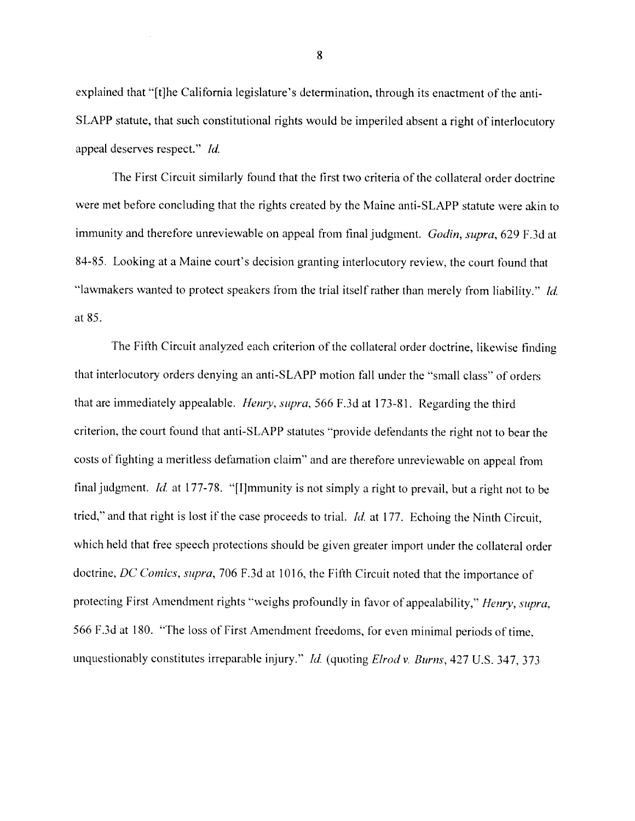explained that "[t]he California legislature's determination, through its enactment of the anti-SLAPP statute, that such constitutional rights would be imperiled absent a right of interlocutory appeal deserves respect." *Id.* 

The First Circuit similarly found that the first two criteria of the collateral order doctrine were met before concluding that the rights created by the Maine anti-SLAPP statute were akin to immunity and therefore unreviewable on appeal from final judgment. Godin, supra, 629 F.3d at 84-85. Looking at a Maine court's decision granting interlocutory review, the court found that "lawmakers wanted to protect speakers from the trial itself rather than merely from liability." *Id.* at 85.

The Fifth Circuit analyzed each criterion of the collateral order doctrine, likewise finding that interlocutory orders denying an anti-SLAPP motion fall under the "small class" of orders that are immediately appealable. *Henry, supra,* 566 F.3d at 173-81. Regarding the third criterion, the court found that anti-SLAPP statutes "provide defendants the right not to bear the costs of fighting a meritless defamation claim" and are therefore unreviewable on appeal from final judgment. *Id.* at 177-78. "[I]mmunity is not simply a right to prevail, but a right not to be tried," and that right is lost if the case proceeds to trial. *Id.* at 177. Echoing the Ninth Circuit, which held that free speech protections should be given greater import under the collateral order doctrine, DC Comics, supra, 706 F.3d at 1016, the Fifth Circuit noted that the importance of protecting First Amendment rights "weighs profoundly in favor of appealability," Henry, supra, 566 F.3d at 180. "The loss of First Amendment freedoms, for even minimal periods of time. unquestionably constitutes irreparable injury." Id. (quoting Elrod v. Burns, 427 U.S. 347, 373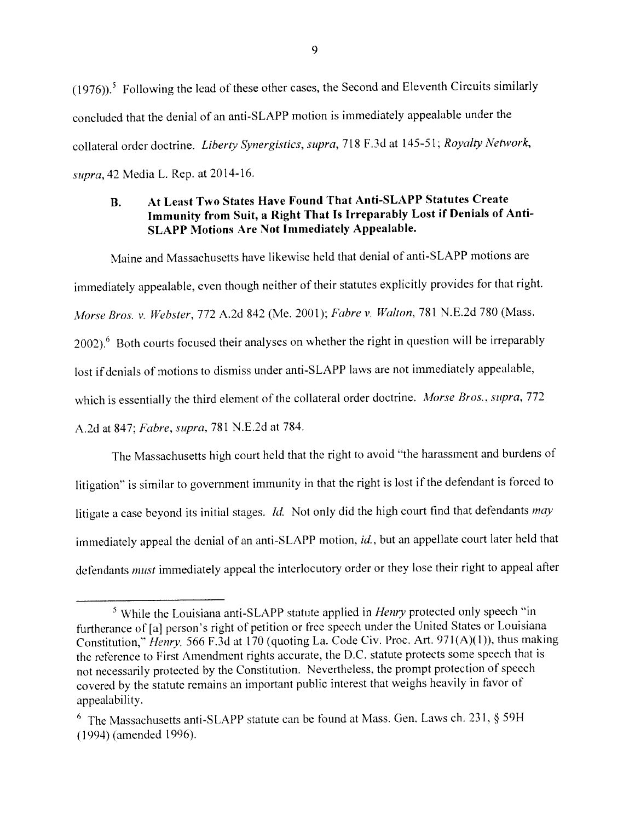$(1976)$ <sup>5</sup> Following the lead of these other cases, the Second and Eleventh Circuits similarly concluded that the denial of an anti-SLAPP motion is immediately appealable under the collateral order doctrine. Liberty Synergistics, supra, 718 F.3d at 145-51; Royalty Network, supra, <sup>42</sup> Media L. Rep. at 2014-16.

# B. At Least Two States Have Found That Anti-SLAPP Statutes Create Immunity from Suit, <sup>a</sup> Right That Is Irreparably Lost if Denials of Anti SLAPP Motions Are Not Immediately Appealable.

Maine and Massachusetts have likewise held that denial of anti-SLAPP motions are immediately appealable, even though neither of their statutes explicitly provides for that right. Morse Bros. v. Webster, <sup>772</sup> A.2d <sup>842</sup> (Me. 2001); Fabre v. Walton, <sup>781</sup> N.E.2d <sup>780</sup> (Mass. 2002).<sup>6</sup> Both courts focused their analyses on whether the right in question will be irreparably lost if denials of motions to dismiss under anti-SLAPP laws are not immediately appealable, which is essentially the third element of the collateral order doctrine. Morse Bros., supra, 772 A.2d at 847; Fabre. supra, 781 N.E.2d at 784.

The Massachusetts high court held that the right to avoid "the harassment and burdens of litigation" is similar to governmen<sup>t</sup> immunity in that the right is lost if the defendant is forced to litigate <sup>a</sup> case beyond its initial stages. Id. Not only did the high court find that defendants may immediately appeal the denial of an anti-SLAPP motion, id., but an appellate court later held that defendants must immediately appea<sup>l</sup> the interlocutory order or they lose their right to appea<sup>l</sup> after

 $5$  While the Louisiana anti-SLAPP statute applied in *Henry* protected only speech "in furtherance of[al person's right of petition or free speec<sup>h</sup> under the United States or Louisiana Constitution," Henry, 566 F.3d at 170 (quoting La. Code Civ. Proc. Art. 971(A)(1)), thus making the reference to First Amendment rights accurate, the D.C. statute protects some speech that is not necessarily protected by the Constitution. Nevertheless, the promp<sup>t</sup> protection of speec<sup>h</sup> covered by the statute remains an important public interest that weighs heavily in favor of appealability.

 $6$  The Massachusetts anti-SLAPP statute can be found at Mass. Gen. Laws ch. 231,  $\S$  59H (1994) (amended 1996).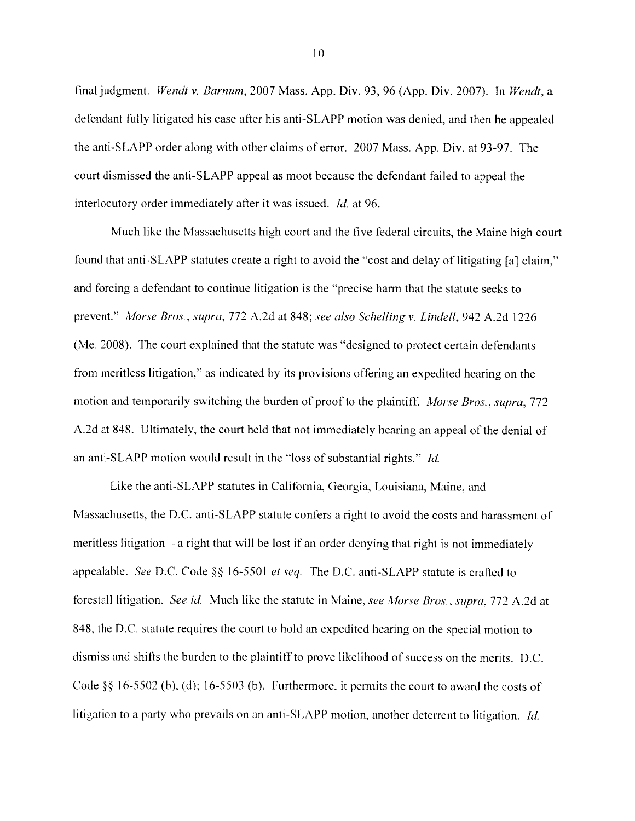final judgment. Wendt v. Barnum, 2007 Mass. App. Div. 93, 96 (App. Div. 2007). In Wendt, a defendant fully litigated his case after his anti-SLAPP motion was denied, and then he appealed the anti-SLAPP order along with other claims of error. 2007 Mass. App. Div. at 93-97. The court dismissed the anti-SLAPP appeal as moot because the defendant failed to appeal the interlocutory order immediately after it was issued. *Id.* at 96.

Much like the Massachusetts high court and the five federal circuits, the Maine high court found that anti-SLAPP statutes create a right to avoid the "cost and delay of litigating [aj claim," and forcing a defendant to continue litigation is the "precise harm that the statute seeks to prevent." Morse Bros., supra, 772 A.2d at 848; see also Schelling v. Lindell, 942 A.2d 1226 (Me. 2008). The court explained that the statute was "designed to protect certain defendants from meritless litigation," as indicated by its provisions offering an expedited hearing on the motion and temporarily switching the burden of proof to the plaintiff. Morse Bros., supra, 772 A.2d at 848. Ultimately, the court held that not immediately hearing an appeal of the denial of an anti-SLAPP motion would result in the "loss of substantial rights." *Id.* 

Like the anti-SLAPP statutes in California, Georgia, Louisiana, Maine, and Massachusetts, the D.C. anti-SLAPP statute confers a right to avoid the costs and harassment of meritless litigation — a right that will be lost if an order denying that right is not immediately appealable. See D.C. Code  $\S$  16-5501 et seq. The D.C. anti-SLAPP statute is crafted to forestall litigation. See id. Much like the statute in Maine, see Morse Bros., supra, 772 A.2d at 848. the D.C. statute requires the court to hold an expedited hearing on the special motion to dismiss and shifts the burden to the plaintiff to prove likelihood of success on the merits. D.C. Code  $\S$ § 16-5502 (b), (d); 16-5503 (b). Furthermore, it permits the court to award the costs of litigation to a party who prevails on an anti-SLAPP motion, another deterrent to litigation. *Id.*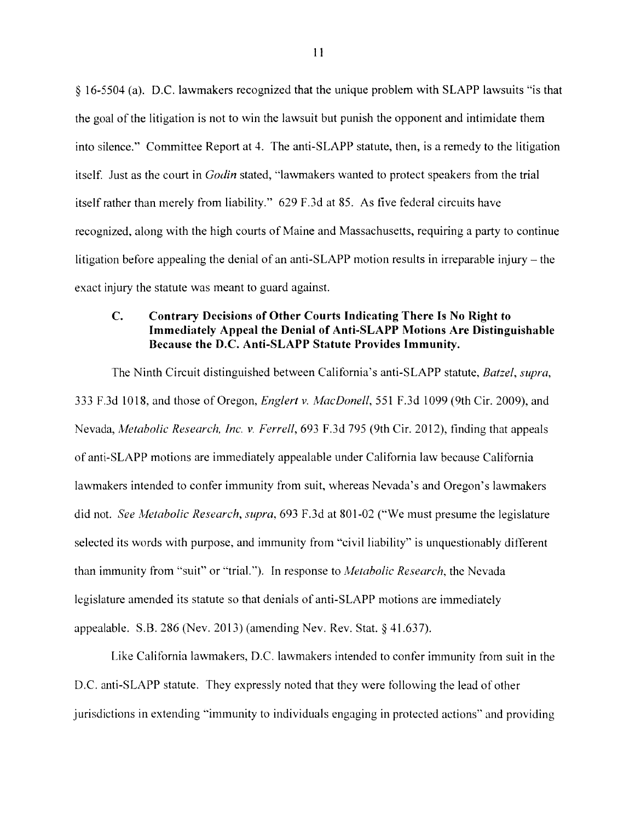§ 16-5504 (a). D.C. lawmakers recognized that the unique problem with SLAPP lawsuits "is that the goal of the litigation is not to win the lawsuit but punish the opponent and intimidate them into silence." Committee Report at 4. The anti-SLAPP statute, then, is a remedy to the litigation itself. Just as the court in *Godin* stated, "lawmakers wanted to protect speakers from the trial itself rather than merely from liability." 629 F.3d at 85, As five federal circuits have recognized, along with the high courts of Maine and Massachusetts, requiring a party to continue litigation before appealing the denial of an anti-SLAPP motion results in irreparable injury — the exact injury the statute was meant to guard against.

#### C. Contrary Decisions of Other Courts Indicating There Is No Right to Immediately Appeal the Denial of Anti-SLAPP Motions Are Distinguishable Because the D.C. Anti-SLAPP Statute Provides Immunity.

The Ninth Circuit distinguished between California's anti-SLAPP statute, Batzel, supra, 333 F.3d 1018, and those of Oregon, *Englert v. MacDonell*, 551 F.3d 1099 (9th Cir. 2009), and Nevada, Metabolic Research, Inc. v. Ferrell, 693 F.3d 795 (9th Cir. 2012), finding that appeals of anti-SLAPP motions are immediately appealable under California law because California lawmakers intended to confer immunity from suit, whereas Nevada's and Oregon's lawmakers did not. See Metabolic Research, supra, 693 F.3d at 801-02 ("We must presume the legislature selected its words with purpose, and immunity from "civil liability" is unquestionably different than immunity from "suit" or "trial."). In response to *Metabolic Research*, the Nevada legislature amended its statute so that denials of anti-SLAPP motions are immediately appealable. S.B. 286 (Nev. 2013) (amending Nev. Rev. Stat. § 4 1.637).

Like California lawmakers, D.C. lawmakers intended to confer immunity from suit in the D.C. anti-SLAPP statute. They expressly noted that they were following the lead of other jurisdictions in extending "immunity to individuals engaging in protected actions" and providing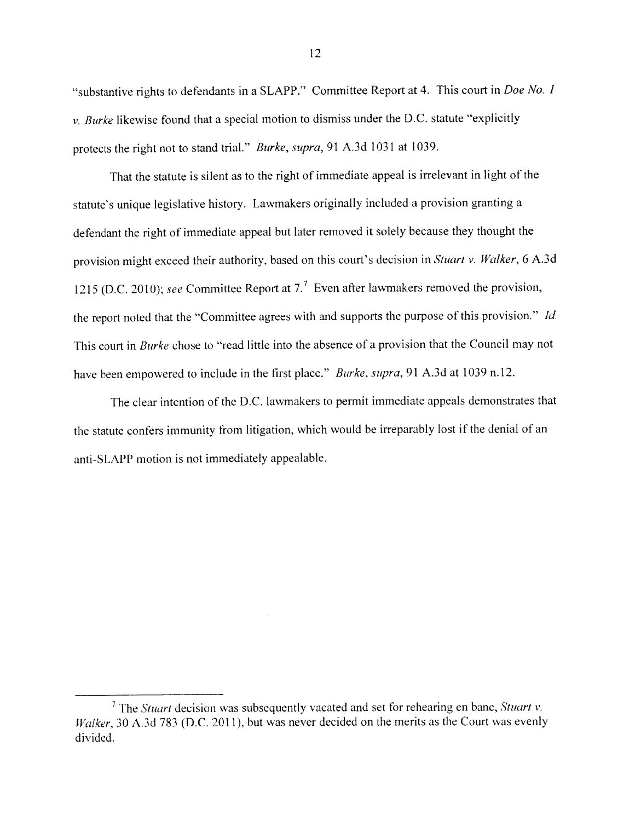"substantive rights to defendants in a SLAPP." Committee Report at 4. This court in *Doe No. 1*  $v.$  Burke likewise found that a special motion to dismiss under the D.C. statute "explicitly" protects the right not to stand trial." Burke, supra, <sup>91</sup> A.3d <sup>1031</sup> at 1039.

That the statute is silent as to the right of immediate appeal is irrelevant in light of the statute's unique legislative history. Lawmakers originally included <sup>a</sup> provision granting <sup>a</sup> defendant the right of immediate appeal but later removed it solely because they thought the provision might exceed their authority, based on this court's decision in Stuart v. Walker, <sup>6</sup> A.3d 1215 (D.C. 2010); see Committee Report at  $7<sup>7</sup>$  Even after lawmakers removed the provision, the report noted that the "Committee agrees with and supports the purpose of this provision." Id. This court in Burke chose to "read little into the absence of <sup>a</sup> provision that the Council may not have been empowered to include in the first place." *Burke*, *supra*, 91 A.3d at 1039 n.12.

The clear intention of the D.C. lawmakers to permit immediate appeals demonstrates that the statute confers immunity from litigation, which would be irreparably lost if the denial of an anti-SLAPP motion is not immediately appealable.

<sup>&</sup>lt;sup>7</sup> The *Stuart* decision was subsequently vacated and set for rehearing en banc, *Stuart v*. Walker, <sup>30</sup> A.3d <sup>783</sup> (D.C. 2011), but was never decided on the merits as the Court was evenly divided.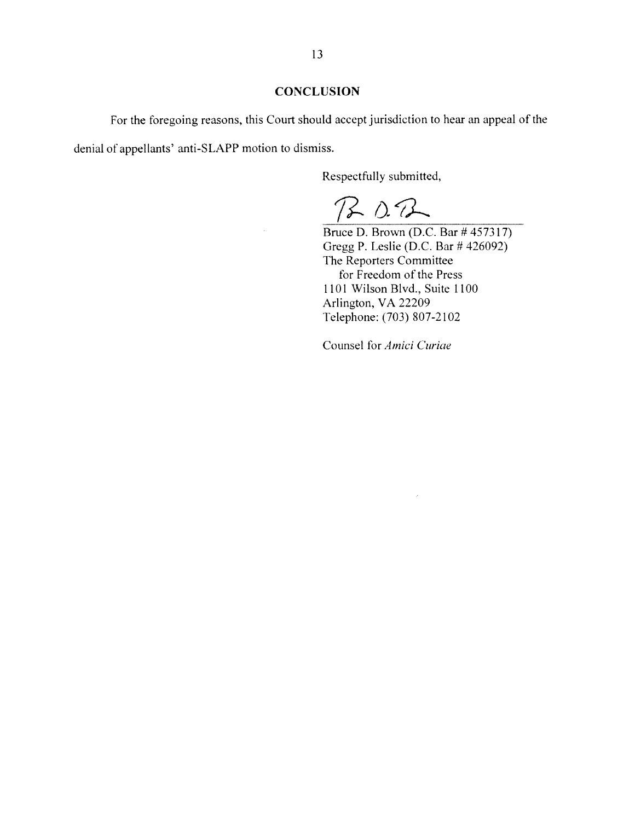#### **CONCLUSION**

For the foregoing reasons, this Court should accept jurisdiction to hear an appeal of the denial of appellants' anti-SLAPP motion to dismiss.

Respectfully submitted,

 $B02$ 

Bruce D. Brown (DC. Bar #457317) Gregg P. Leslie (DC. Bar # 426092) The Reporters Committee for Freedom of the Press 1101 Wilson Blvd., Suite 1100 Arlington, VA 22209 Telephone: (703) 807-2102

Counsel for Amici Curiae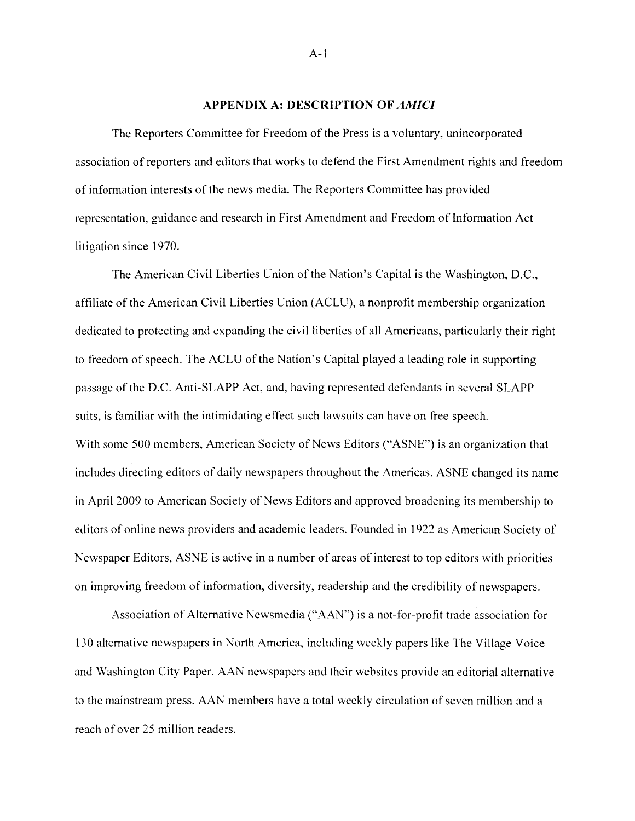#### APPENDIX A: DESCRIPTION OF AMICI

The Reporters Committee for Freedom of the Press is a voluntary, unincorporated association of reporters and editors that works to defend the First Amendment rights and freedom of information interests of the news media. The Reporters Committee has provided representation, guidance and research in First Amendment and Freedom of Information Act litigation since 1970.

The American Civil Liberties Union of the Nation's Capital is the Washington, D.C., affiliate of the American Civil Liberties Union (ACLU), a nonprofit membership organization dedicated to protecting and expanding the civil liberties of all Americans, particularly their right to freedom of speech. The ACLU of the Nation's Capital played a leading role in supporting passage of the D.C. Anti-SLAPP Act, and, having represented defendants in several SLAPP suits, is familiar with the intimidating effect such lawsuits can have on free speech. With some 500 members, American Society of News Editors ("ASNE") is an organization that includes directing editors of daily newspapers throughout the Americas. ASNE changed its name in April 2009 to American Society of News Editors and approved broadening its membership to editors of online news providers and academic leaders. Founded in 1922 as American Society of Newspaper Editors, ASNE is active in a number of areas of interest to top editors with priorities on improving freedom of information, diversity, readership and the credibility of newspapers.

Association of Alternative Newsmedia ("AAN") is a not-for-protit trade association for 130 alternative newspapers in North America, including weekly papers like The Village Voice and Washington City Paper. AAN newspapers and their websites provide an editorial alternative to the mainstream press. AN members have <sup>a</sup> total weekly circulation of seven million and <sup>a</sup> reach of over 25 million readers.

 $A-1$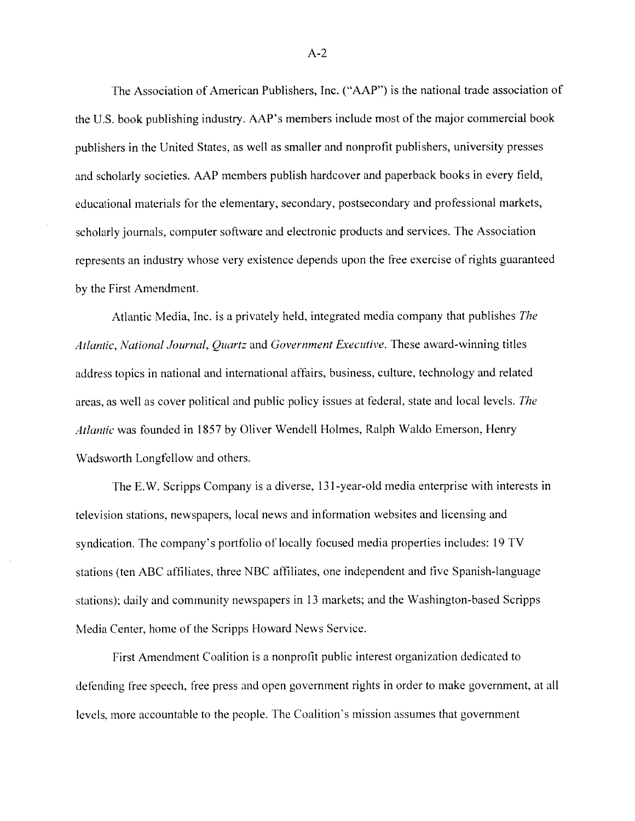The Association of American Publishers. Inc. ("AAP") is the national trade association of the U.S. hook publishing industry. AAP's members include most of the major commercial book publishers in the United States, as well as smaller and nonprofit publishers, university presses and scholarly societies. AAP members publish hardcover and paperback books in every field, educational materials for the elementary, secondary, postsecondarv and professional markets, scholarly journals, computer software and electronic products and services. The Association represents an industry whose very existence depends upon the free exercise of rights guaranteed by the First Amendment.

Atlantic Media, Inc. is a privately held, integrated media company that publishes The Atlantic, National Journal, Quartz and Government Executive. These award-winning titles address topics in national and international affairs, business, culture, technology and related areas, as well as cover political and public policy issues at federal, state and local levels. The Atlantic was founded in 1857 by Oliver Wendell Holmes, Ralph Waldo Emerson, Henry Wadsworth Longfellow and others.

The E.W. Scripps Company is a diverse. 131-year-old media enterprise with interests in television stations, newspapers. local news and information websites and licensing and syndication. The company's portfolio of locally focused media properties includes: <sup>19</sup> IV stations (ten ABC affiliates, three NBC affiliates, one independent and five Spanish-language stations); daily and community newspapers in 13 markets; and the Washington-based Scripps Media Center. home of the Scripps Howard News Service.

First Amendment Coalition is a nonprofit public interest organization dedicated to defending free speech, free press and open government rights in order to make government, at all levels, more accountable to the people. The Coalition's mission assumes that government

A-2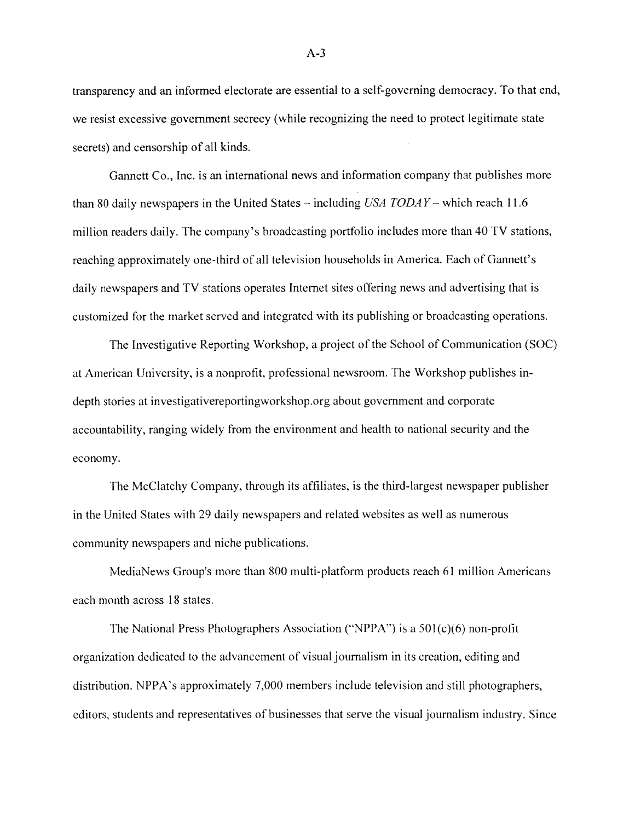transparency and an informed electorate are essential to a self-governing democracy. To that end, we resist excessive government secrecy (while recognizing the need to protect legitimate state secrets) and censorship of all kinds.

Gannett Co., Inc. is an international news and information company that publishes more than 80 daily newspapers in the United States – including  $USA TODAY$  – which reach 11.6 million readers daily. The company's broadcasting portfolio includes more than 40 TV stations, reaching approximately one-third of all television households in America. Each of Gannett's daily newspapers and TV stations operates Internet sites offering news and advertising that is customized for the market served and integrated with its publishing or broadcasting operations.

The Investigative Reporting Workshop, a project of the School of Communication (SOC) at American University, is a nonprofit, professional newsroom. The Workshop publishes indepth stories at investigativereportingworkshop.org about government and corporate accountability, ranging widely from the environment and health to national security and the economy.

The McClatchy Company, through its affiliates, is the third-largest newspaper publisher in the United States with 29 daily newspapers and related websites as well as numerous community newspapers and niche publications.

MediaNews Group's more than 800 multi-platform products reach 61 million Americans each month across 18 states.

The National Press Photographers Association ("NPPA") is a  $501(c)(6)$  non-profit organization dedicated to the advancement of visual journalism in its creation, editing and distribution. NPPA's approximately 7,000 members include television and still photographers, editors, students and representatives of businesses that serve the visual journalism industry. Since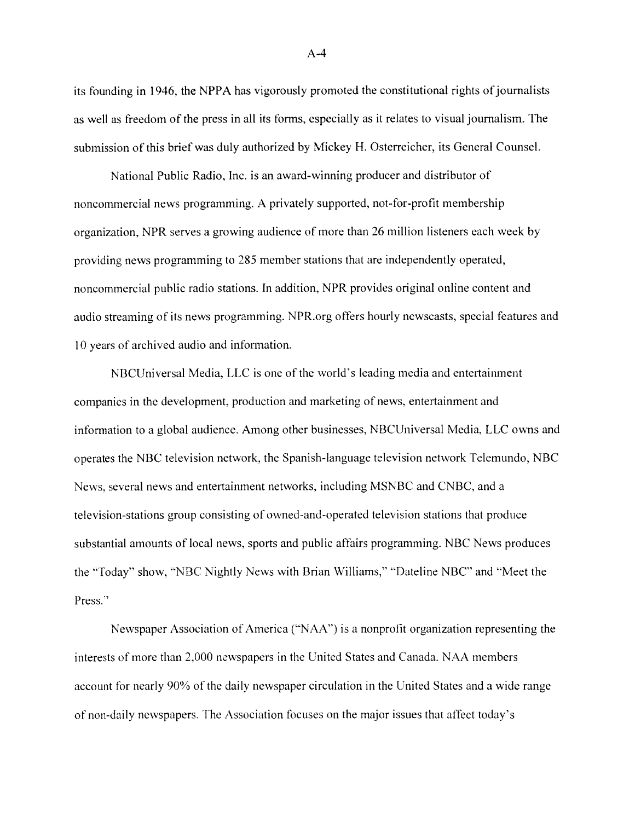its founding in 1946, the NPPA has vigorously promoted the constitutional rights of journalists as well as freedom of the press in all its forms, especially as it relates to visual journalism. The submission ofthis brief was duly authorized by Mickey H. Osterreicher, its General Counsel.

National Public Radio, Inc. is an award-winning producer and distributor of noncommercial news programming. A privately supported, not-for-profit membership organization, NPR serves a growing audience of more than 26 million listeners each week by providing news programming to 285 member stations that are independently operated, noncommercial public radio stations. In addition, NPR provides original online content and audio streaming of its news programming. NPR.org offers hourly newscasts, special features and 10 years of archived audio and information.

NBCUniversal Media, LLC is one of the world's leading media and entertainment companies in the development, production and marketing of news, entertainment and information to a global audience. Among other businesses, NBCUniversal Media, LLC owns and operates the NBC television network, the Spanish-language television network Telemundo, NBC News, several news and entertainment networks, including MSNBC and CNBC, and a television-stations group consisting of owned-and-operated television stations that produce substantial amounts of local news, sports and public affairs programming. NBC News produces the "Today" show, "NBC Nightly News with Brian Williams," "Dateline NBC" and "Meet the Press."

Newspaper Association of America ("NAA") is a nonprofit organization representing the interests of more than 2,000 newspapers in the United States and Canada. NAA members account for nearly 90% of the daily newspaper circulation in the United States and a wide range of non-daily newspapers. The Association focuses on the major issues that affect today's

 $A-4$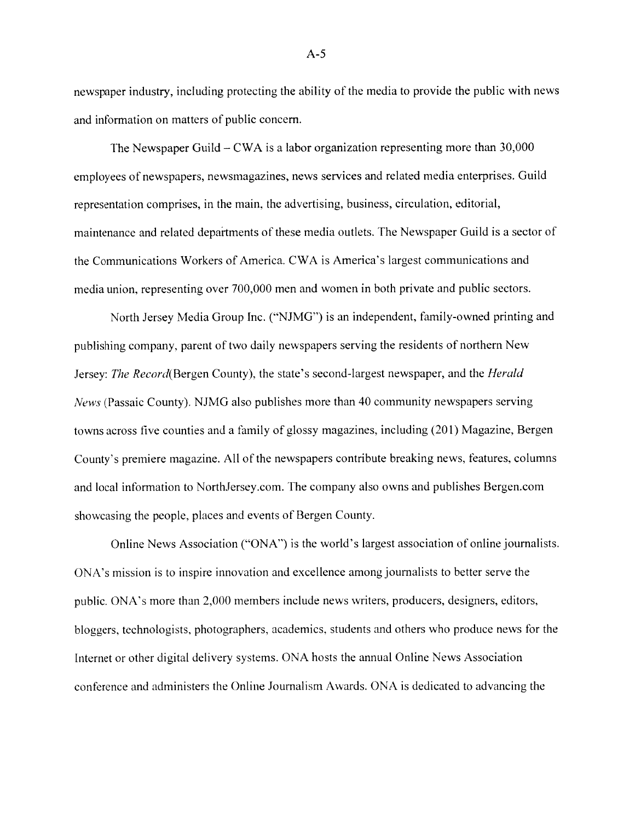newspaper industry, including protecting the ability of the media to provide the public with news and information on matters of public concern.

The Newspaper Guild — CWA is a labor organization representing more than 30,000 employees of newspapers, newsmagazines, news services and related media enterprises. Guild representation comprises, in the main, the advertising, business, circulation, editorial, maintenance and related depaitments of these media outlets. The Newspaper Guild is a sector of the Communications Workers of America. CWA is America's largest communications and media union, representing over 700,000 men and women in both private and public sectors.

North Jersey Media Group Inc. ('NJMG") is an independent, family-owned printing and publishing company, parent of two daily newspapers serving the residents of northern New Jersey: The Record(Bergen County), the state's second-largest newspaper, and the *Herald* News (Passaic County). NJMG also publishes more than 40 community newspapers serving towns across five counties and a family of glossy magazines, including (201) Magazine, Bergen County's premiere magazine. All of the newspapers contribute breaking news, features. columns and local information to NorthJersey.com. The company also owns and publishes Bergen.com showcasing the people, places and events of Bergen County.

Online News Association ('ONA") is the world's largest association of online journalists. ONA's mission is to inspire innovation and excellence among journalists to better serve the public. ONA's more than 2.000 members include news writers, producers. designers. editors, bloggers. technologists, photographers. academics. students and others \\ho produce news for the Internet or other digital delivery systems. ONA hosts the annual Online News Association conference and administers the Online Journalism Awards. ONA is dedicated to advancing the

 $A-5$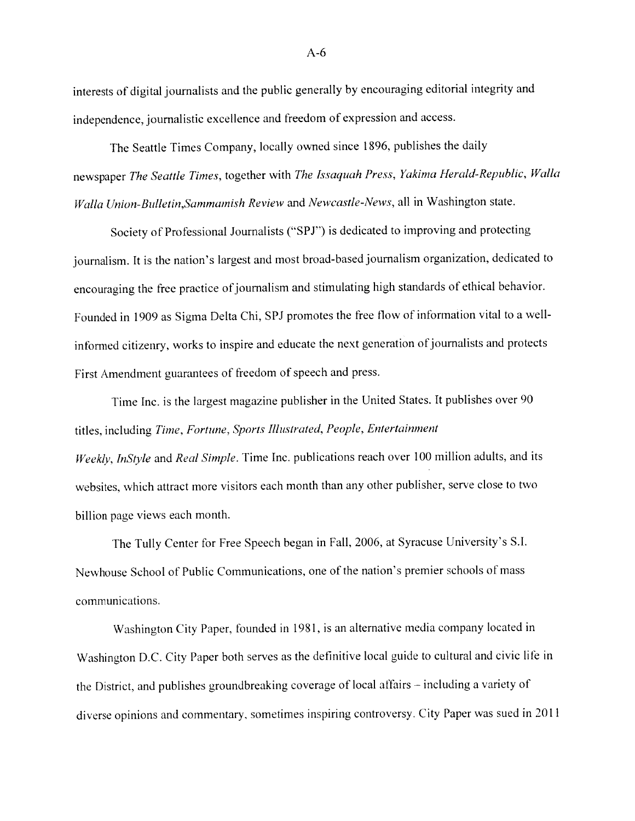interests of digital journalists and the public generally by encouraging editorial integrity and independence, journalistic excellence and freedom of expression and access.

The Seattle Times Company, locally owned since 1896, publishes the daily newspaper The Seattle Times, together with The Issaquah Press, Yakima Herald-Republic, Walla Walla Union-Bulletin, Sammamish Review and Newcastle-News, all in Washington state.

Society of Professional Journalists ("SPJ") is dedicated to improving and protecting journalism. It is the nation's largest and most broad-based journalism organization, dedicated to encouraging the free practice of journalism and stimulating high standards of ethical behavior. Founded in <sup>1909</sup> as Sigma Delta Chi, SPJ promotes the free flow of information vital to <sup>a</sup> well infbrmed citizenry. works to inspire and educate the next generation of journalists and protects First Amendment guarantees of freedom of speec<sup>h</sup> and press.

Time Inc. is the largest magazine publisher in the United States. It publishes over <sup>90</sup> titles, including Time, Fortune, Sports Illustrated, People. Entertainment Weekly, InStyle and Real Simple. Time Inc. publications reach over 100 million adults, and its

websites, which attract more visitors each month than any other publisher, serve close to two billion page views each month.

The Tully Center for Free Speech began in Fall, 2006, at Syracuse University's SI. Newhouse School of Public Communications, one of the nation's premier schools of mass communications.

Washington City Paper, founded in 1981, is an alternative media company located in Washington D.C. City Paper both serves as the definitive local guide to cultural and civic life in the District, and publishes groundbreaking coverage of local affairs – including a variety of diverse opinions and commentary, sometimes inspiring controversy. City Paper was sued in <sup>2011</sup>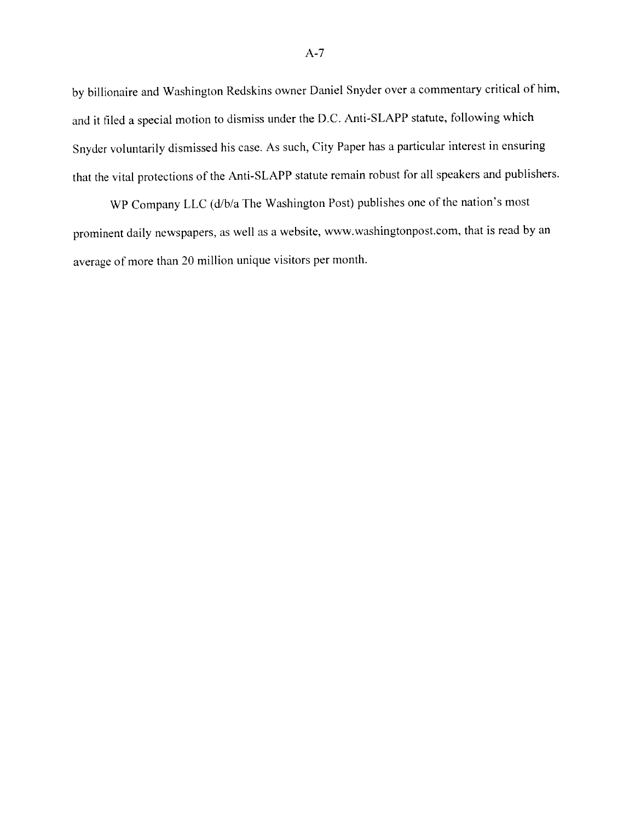by billionaire and Washington Redskins owner Daniel Snyder over <sup>a</sup> commentary critical of him. and it filed a special motion to dismiss under the D.C. Anti-SLAPP statute, following which Snyder voluntarily dismissed his case. As such. City Paper has <sup>a</sup> particular interest in ensuring that the vital protections of the Anti-SLAPP statute remain robust for all speakers and publishers.

WP Company LLC (d/b/a The Washington Post) publishes one of the nation's most prominent daily newspapers, as well as <sup>a</sup> website, www.washingtonpost.com, that is read by an average of more than 20 million unique visitors per month.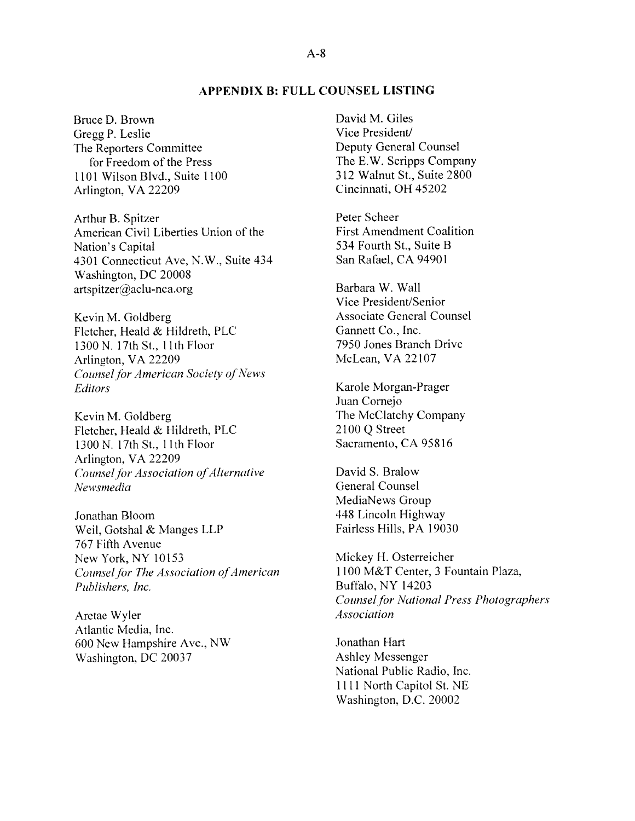#### APPENDIX B: FULL COUNSEL LLSTING

Bruce D. Brown Gregg P. Leslie The Reporters Committee for Freedom of the Press 1101 \Vilson Blvd.. Suite 1100 Arlington, VA 22209

Arthur B. Spitzer American Civil Liberties Union of the Nation's Capital 4301 Connecticut Aye, N.W., Suite 434 Washington, DC 20008  $artspitzer@aclu-nca.org$ 

Kevin M. Goldberg Fletcher, Heald & Hildreth, PLC 1300 N. 17th St., 11th Floor Arlington, VA 22209 Counsel for American Society of News **Editors** 

Kevin M. Goldberg Fletcher, Heald & Hildreth, PLC 1300N. 17th St., 11th Floor Arlington, VA 22209 Counsel for Association of Alternative Newsmedia

Jonathan Bloom \Veil, Gotshal & Manges LLP 767 Fifth Avenue New York. NY 10153 Counsel for The Association of American Publishers. Inc.

Aretae Wyler Atlantic Media, Inc. 600 New Hampshire Ave., NW Washington. DC 20037

David M. Giles Vice President/ Deputy General Counsel The E.W. Scripps Company 312 Walnut St., Suite 2800 Cincinnati, OH 45202

Peter Scheer First Amendment Coalition 534 Fourth St., Suite B San Rafael. CA 94901

Barbara W. Wall Vice President/Senior Associate General Counsel Gannett Co.. Inc. 7950 Jones Branch Drive McLean, VA 22107

Karole Morgan-Prager Juan Cornejo The McClatchy Company 2100 Q Street Sacramento, CA 95816

David S. Bralow General Counsel MediaNews Group 448 Lincoln Highway Fairless Hills. PA 19030

Mickey H. Osterreicher 1100 M&T Center, 3 Fountain Plaza. Buffalo, NY 14203 Counsel for National Press Photographers Association

Jonathan Hart Ashley Messenger National Public Radio, Inc. 1111 North Capitol St. NE Washington. D.C. 20002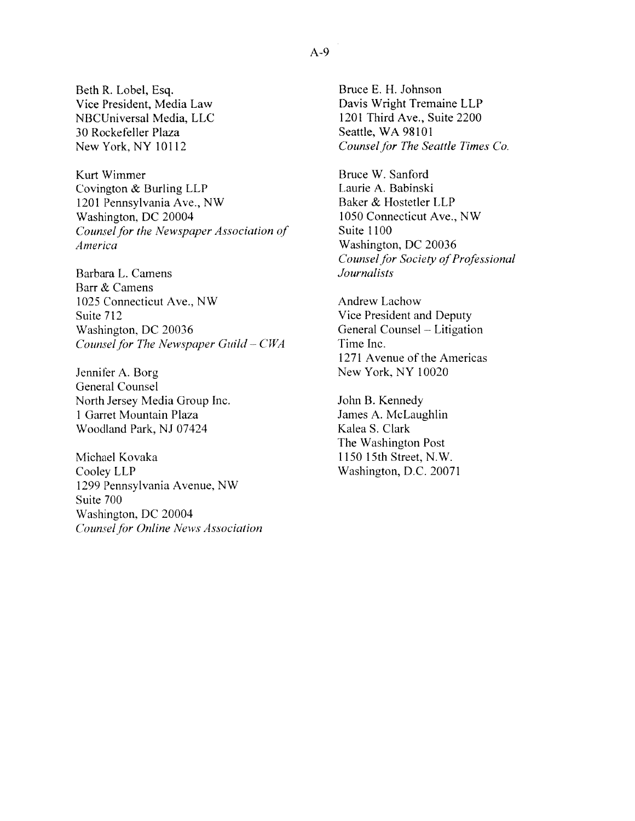Beth R. Lohel. Esq. Vice President, Media Law NBCLniversal Media. LLC 30 Rockefeller Plaza New York, NY 10112

Kurt Wimmer Covington  $&$  Burling LLP 1201 Pennsylvania Ave., NW \Vashington, DC 20004 Counsel for the Newspaper Association of America

Barbara L. Camens Barr & Camens 1025 Connecticut Ave., NW Suite 712 Washington. DC 20036 Counsel for The Newspaper Guild  $-CWA$ 

Jennifer A. Borg General Counsel North Jersey Media Group Inc. <sup>I</sup> Garret Mountain Plaza Woodland Park, NJ 07424

Michael Kovaka Coolev LLP 1299 Pennsylvania Avenue, NW Suite 700 Washington, DC 20004 Counsel for Online News Association Bruce E. H. Johnson Davis Wright Tremaine LLP 1201 Third Ave., Suite 2200 Seattle, WA 98101 Counsel for The Seattle Times Co.

Bruce \V. Sanford Laurie A. Babinski Baker & Hostetler LLP 1050 Connecticut Ave., NW Suite 1100 Washington, DC 20036 Counsel for Society of Professional Journalists

Andrew Lachow Vice President and Deputy General Counsel — Litigation Time Inc. 1271 Avenue of the Americas New York, NY 10020

John B. Kennedy James A. McLaughlin Kalea S. Clark The Washington Post 1150 15th Street, N.W. Washington, D.C. 20071